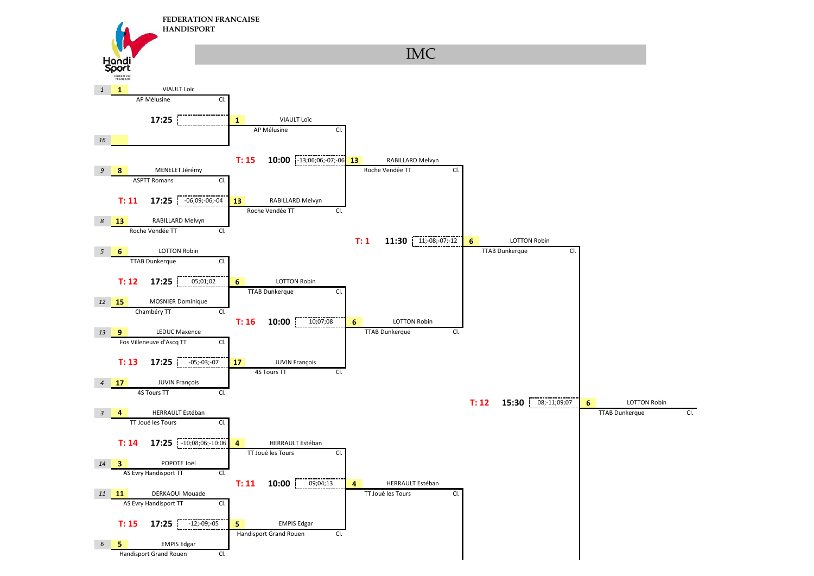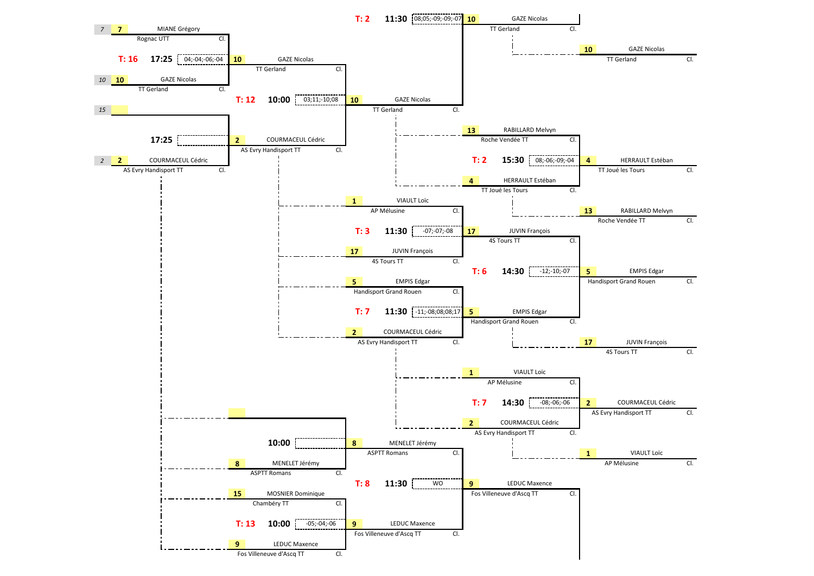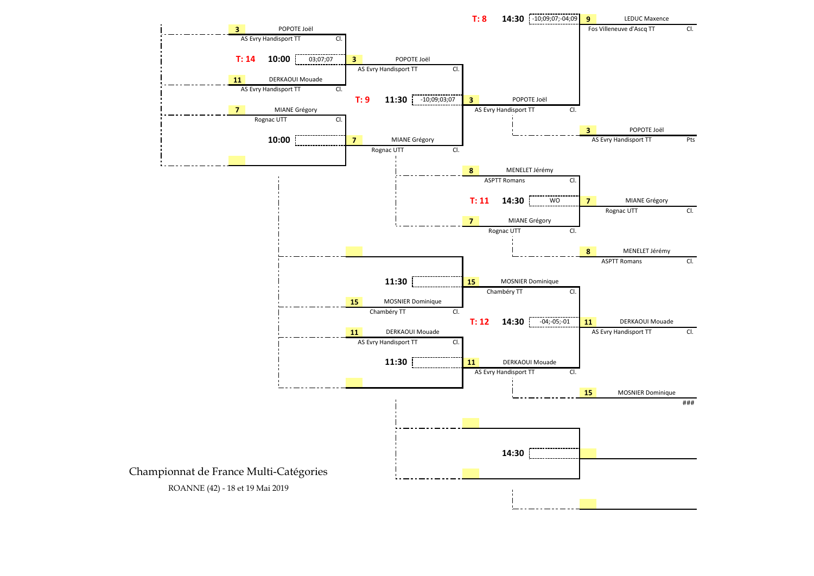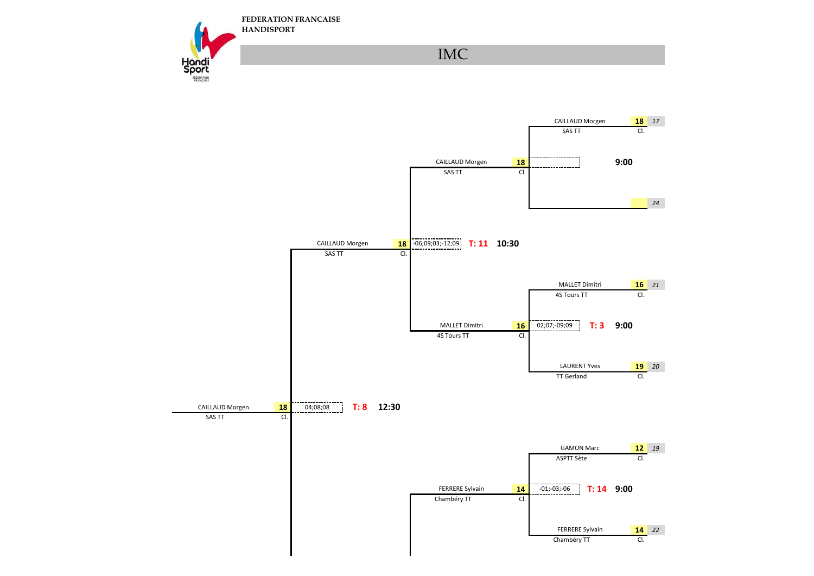